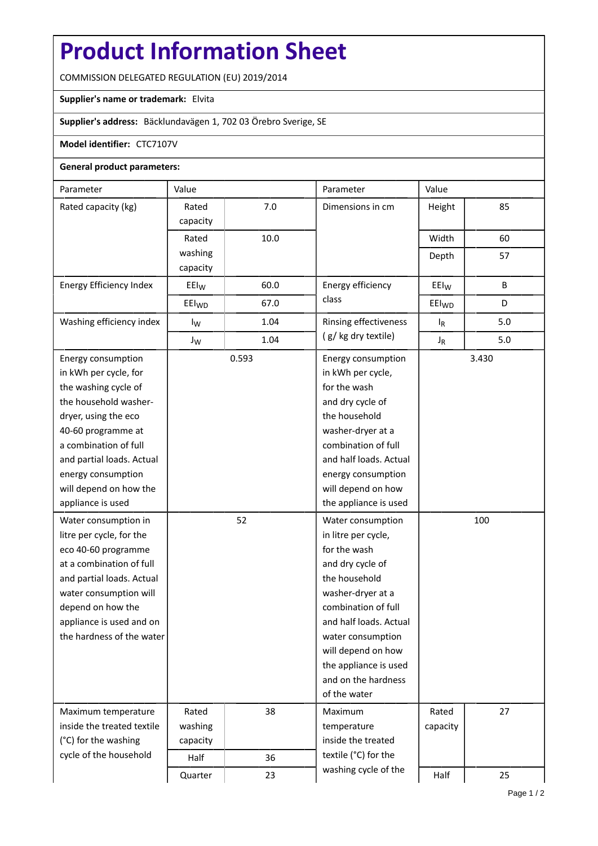## **Product Information Sheet**

COMMISSION DELEGATED REGULATION (EU) 2019/2014

## **Supplier's name or trademark:** Elvita

**Supplier's address:** Bäcklundavägen 1, 702 03 Örebro Sverige, SE

## **Model identifier:** CTC7107V

## **General product parameters:**

| Parameter                  | Value             |                       | Parameter                               | Value             |     |  |
|----------------------------|-------------------|-----------------------|-----------------------------------------|-------------------|-----|--|
| Rated capacity (kg)        | Rated             | 7.0                   | Dimensions in cm                        | Height            | 85  |  |
|                            | capacity          |                       |                                         |                   |     |  |
|                            | Rated             | 10.0                  |                                         | Width             | 60  |  |
|                            | washing           |                       |                                         | Depth             | 57  |  |
|                            | capacity          |                       |                                         |                   |     |  |
| Energy Efficiency Index    | $E E I_W$         | 60.0                  | Energy efficiency                       | EEI <sub>W</sub>  | B   |  |
|                            | EEI <sub>WD</sub> | 67.0                  | class                                   | EEI <sub>WD</sub> | D   |  |
| Washing efficiency index   | 1.04<br>$I_{W}$   | Rinsing effectiveness | $I_R$                                   | 5.0               |     |  |
|                            | $J_{W}$           | 1.04                  | (g/kg dry textile)                      | $J_R$             | 5.0 |  |
| Energy consumption         |                   | 0.593                 | Energy consumption<br>in kWh per cycle, | 3.430             |     |  |
| in kWh per cycle, for      |                   |                       |                                         |                   |     |  |
| the washing cycle of       |                   |                       | for the wash                            |                   |     |  |
| the household washer-      |                   |                       | and dry cycle of                        |                   |     |  |
| dryer, using the eco       |                   |                       | the household                           |                   |     |  |
| 40-60 programme at         |                   |                       | washer-dryer at a                       |                   |     |  |
| a combination of full      |                   |                       | combination of full                     |                   |     |  |
| and partial loads. Actual  |                   |                       | and half loads. Actual                  |                   |     |  |
| energy consumption         |                   |                       | energy consumption                      |                   |     |  |
| will depend on how the     |                   |                       | will depend on how                      |                   |     |  |
| appliance is used          |                   |                       | the appliance is used                   |                   |     |  |
| Water consumption in       |                   | 52                    | Water consumption                       | 100               |     |  |
| litre per cycle, for the   |                   |                       | in litre per cycle,                     |                   |     |  |
| eco 40-60 programme        |                   |                       | for the wash                            |                   |     |  |
| at a combination of full   |                   |                       | and dry cycle of                        |                   |     |  |
| and partial loads. Actual  |                   |                       | the household                           |                   |     |  |
| water consumption will     |                   |                       | washer-dryer at a                       |                   |     |  |
| depend on how the          |                   |                       | combination of full                     |                   |     |  |
| appliance is used and on   |                   |                       | and half loads. Actual                  |                   |     |  |
| the hardness of the water  |                   |                       | water consumption                       |                   |     |  |
|                            |                   |                       | will depend on how                      |                   |     |  |
|                            |                   |                       | the appliance is used                   |                   |     |  |
|                            |                   |                       | and on the hardness                     |                   |     |  |
|                            |                   |                       | of the water                            |                   |     |  |
| Maximum temperature        | Rated             | 38                    | Maximum                                 | Rated             | 27  |  |
| inside the treated textile | washing           |                       | temperature                             | capacity          |     |  |
| (°C) for the washing       | capacity          |                       | inside the treated                      |                   |     |  |
| cycle of the household     | Half              | 36                    | textile (°C) for the                    |                   |     |  |
|                            | Quarter           | 23                    | washing cycle of the                    | Half              | 25  |  |